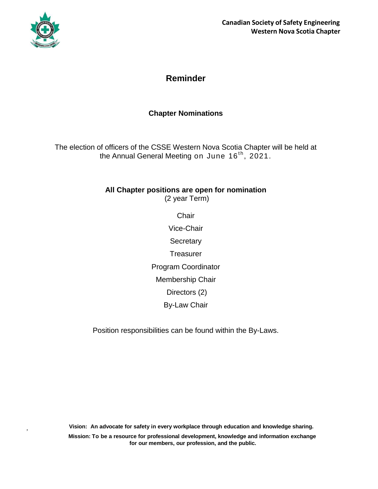

,

## **Reminder**

### **Chapter Nominations**

The election of officers of the CSSE Western Nova Scotia Chapter will be held at the Annual General Meeting on June 16<sup>th</sup>, 2021.

# **All Chapter positions are open for nomination**

(2 year Term)

**Chair** 

Vice-Chair **Secretary Treasurer** Program Coordinator Membership Chair

Directors (2)

By-Law Chair

Position responsibilities can be found within the By-Laws.

**Vision: An advocate for safety in every workplace through education and knowledge sharing.**

**Mission: To be a resource for professional development, knowledge and information exchange for our members, our profession, and the public.**